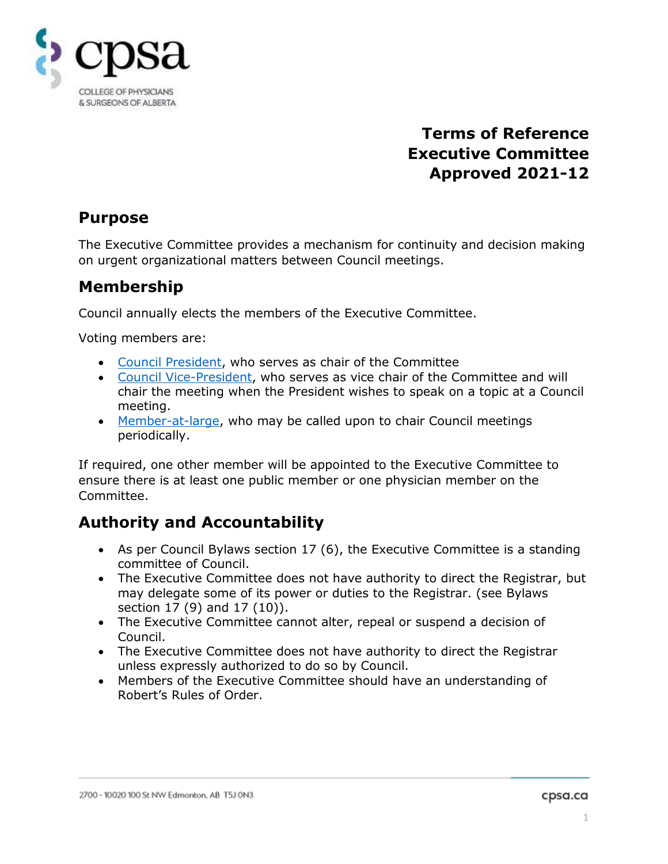

# **Terms of Reference Executive Committee Approved 2021-12**

## **Purpose**

The Executive Committee provides a mechanism for continuity and decision making on urgent organizational matters between Council meetings.

## **Membership**

Council annually elects the members of the Executive Committee.

Voting members are:

- Council President, who serves as chair of the Committee
- Council Vice-President, who serves as vice chair of the Committee and will chair the meeting when the President wishes to speak on a topic at a Council meeting.
- Member-at-large, who may be called upon to chair Council meetings periodically.

If required, one other member will be appointed to the Executive Committee to ensure there is at least one public member or one physician member on the Committee.

# **Authority and Accountability**

- As per Council Bylaws section 17 (6), the Executive Committee is a standing committee of Council.
- The Executive Committee does not have authority to direct the Registrar, but may delegate some of its power or duties to the Registrar. (see Bylaws section 17 (9) and 17 (10)).
- The Executive Committee cannot alter, repeal or suspend a decision of Council.
- The Executive Committee does not have authority to direct the Registrar unless expressly authorized to do so by Council.
- Members of the Executive Committee should have an understanding of Robert's Rules of Order.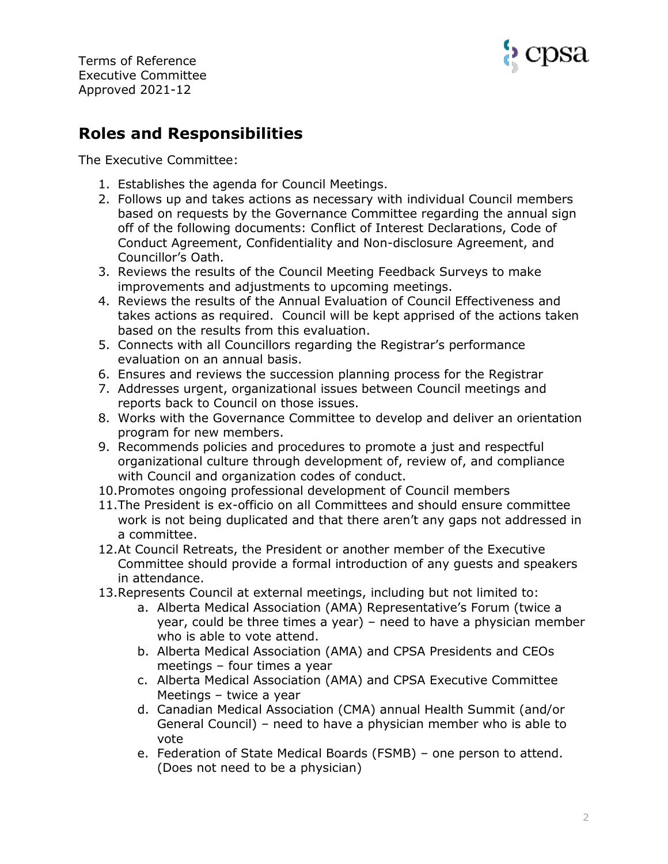



## **Roles and Responsibilities**

The Executive Committee:

- 1. Establishes the agenda for Council Meetings.
- 2. Follows up and takes actions as necessary with individual Council members based on requests by the Governance Committee regarding the annual sign off of the following documents: Conflict of Interest Declarations, Code of Conduct Agreement, Confidentiality and Non-disclosure Agreement, and Councillor's Oath.
- 3. Reviews the results of the Council Meeting Feedback Surveys to make improvements and adjustments to upcoming meetings.
- 4. Reviews the results of the Annual Evaluation of Council Effectiveness and takes actions as required. Council will be kept apprised of the actions taken based on the results from this evaluation.
- 5. Connects with all Councillors regarding the Registrar's performance evaluation on an annual basis.
- 6. Ensures and reviews the succession planning process for the Registrar
- 7. Addresses urgent, organizational issues between Council meetings and reports back to Council on those issues.
- 8. Works with the Governance Committee to develop and deliver an orientation program for new members.
- 9. Recommends policies and procedures to promote a just and respectful organizational culture through development of, review of, and compliance with Council and organization codes of conduct.
- 10.Promotes ongoing professional development of Council members
- 11.The President is ex-officio on all Committees and should ensure committee work is not being duplicated and that there aren't any gaps not addressed in a committee.
- 12.At Council Retreats, the President or another member of the Executive Committee should provide a formal introduction of any guests and speakers in attendance.
- 13.Represents Council at external meetings, including but not limited to:
	- a. Alberta Medical Association (AMA) Representative's Forum (twice a year, could be three times a year) – need to have a physician member who is able to vote attend.
	- b. Alberta Medical Association (AMA) and CPSA Presidents and CEOs meetings – four times a year
	- c. Alberta Medical Association (AMA) and CPSA Executive Committee Meetings – twice a year
	- d. Canadian Medical Association (CMA) annual Health Summit (and/or General Council) – need to have a physician member who is able to vote
	- e. Federation of State Medical Boards (FSMB) one person to attend. (Does not need to be a physician)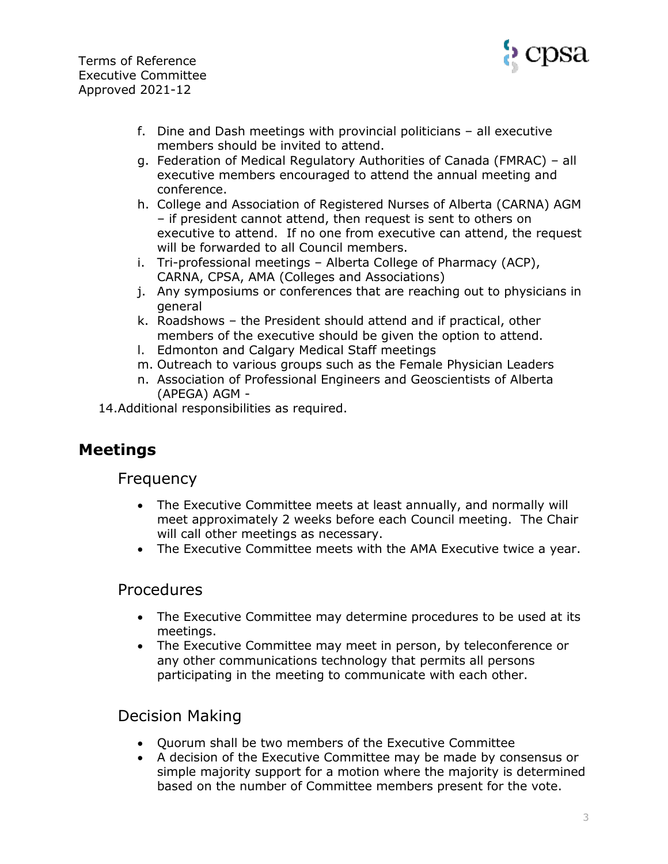

- f. Dine and Dash meetings with provincial politicians all executive members should be invited to attend.
- g. Federation of Medical Regulatory Authorities of Canada (FMRAC) all executive members encouraged to attend the annual meeting and conference.
- h. College and Association of Registered Nurses of Alberta (CARNA) AGM – if president cannot attend, then request is sent to others on executive to attend. If no one from executive can attend, the request will be forwarded to all Council members.
- i. Tri-professional meetings Alberta College of Pharmacy (ACP), CARNA, CPSA, AMA (Colleges and Associations)
- j. Any symposiums or conferences that are reaching out to physicians in general
- k. Roadshows the President should attend and if practical, other members of the executive should be given the option to attend.
- l. Edmonton and Calgary Medical Staff meetings
- m. Outreach to various groups such as the Female Physician Leaders
- n. Association of Professional Engineers and Geoscientists of Alberta (APEGA) AGM -
- 14.Additional responsibilities as required.

## **Meetings**

#### Frequency

- The Executive Committee meets at least annually, and normally will meet approximately 2 weeks before each Council meeting. The Chair will call other meetings as necessary.
- The Executive Committee meets with the AMA Executive twice a year.

#### Procedures

- The Executive Committee may determine procedures to be used at its meetings.
- The Executive Committee may meet in person, by teleconference or any other communications technology that permits all persons participating in the meeting to communicate with each other.

### Decision Making

- Quorum shall be two members of the Executive Committee
- A decision of the Executive Committee may be made by consensus or simple majority support for a motion where the majority is determined based on the number of Committee members present for the vote.